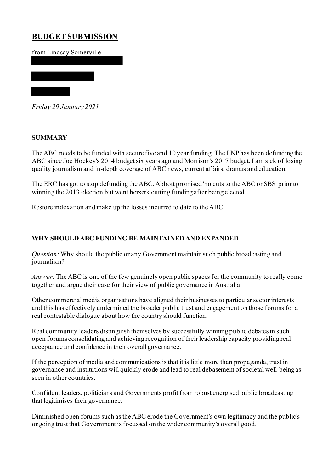# **BUDGET SUBMISSION**

from Lindsay Somerville

*Friday 29 January 2021*

## **SUMMARY**

The ABC needs to be funded with secure five and 10 year funding. The LNP has been defunding the ABC since Joe Hockey's 2014 budget six years ago and Morrison's 2017 budget. I am sick of losing quality journalism and in-depth coverage of ABC news, current affairs, dramas and education.

The ERC has got to stop defunding the ABC. Abbott promised 'no cuts to the ABC or SBS' prior to winning the 2013 election but went berserk cutting funding after being elected.

Restore indexation and make up the losses incurred to date to the ABC.

# **WHY SHOULD ABC FUNDING BE MAINTAINED AND EXPANDED**

*Question:* Why should the public or any Government maintain such public broadcasting and journalism?

*Answer:* The ABC is one of the few genuinely open public spaces for the community to really come together and argue their case for their view of public governance in Australia.

Other commercial media organisations have aligned their businesses to particular sector interests and this has effectively undermined the broader public trust and engagement on those forums for a real contestable dialogue about how the country should function.

Real community leaders distinguish themselves by successfully winning public debates in such open forums consolidating and achieving recognition of their leadership capacity providing real acceptance and confidence in their overall governance.

If the perception of media and communications is that it is little more than propaganda, trust in governance and institutions will quickly erode and lead to real debasement of societal well-being as seen in other countries.

Confident leaders, politicians and Governments profit from robust energised public broadcasting that legitimises their governance.

Diminished open forums such as the ABC erode the Government's own legitimacy and the public's ongoing trust that Government is focussed on the wider community's overall good.